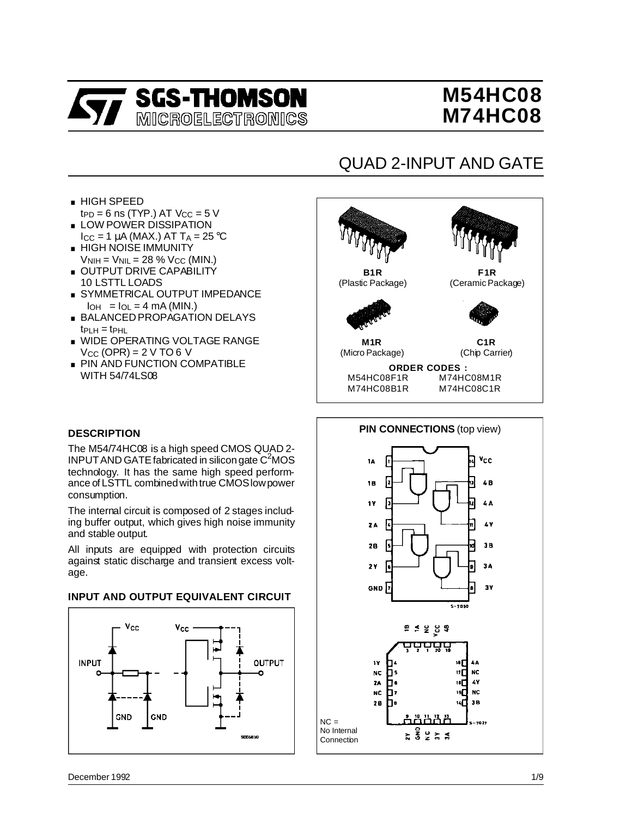

# **M54HC08 M74HC08**

# QUAD 2-INPUT AND GATE

- . HIGH SPEED t $_{\text{PD}}$  = 6 ns (TYP.) AT V $_{\text{CC}}$  = 5 V ■ HIGH SPEED<br>  $tp = 6$  ns (TYP.) AT Vcc = 5<br>
■ LOW POWER DISSIPATION
- $I_{CC}$  = 1  $\mu$ A (MAX.) AT T<sub>A</sub> = 25 °C ■ LOW POWER DISSIPATION<br>I<sub>CC</sub> = 1 μA (MAX.) AT T<sub>A</sub> = 25<br>■ HIGH NOISE IMMUNITY
- $V<sub>NIH</sub> = V<sub>NIL</sub> = 28 % V<sub>CC</sub> (MIN.)$ ■ HIGH NOISE IMMUNITY<br>
V<sub>NIH</sub> = V<sub>NIL</sub> = 28 % V<sub>CC</sub> (MIN.)<br>■ OUTPUT DRIVE CAPABILITY
- 10 LSTTL LOADS ■ OUTPUT DRIVE CAPABILITY<br>- 10 LSTTL LOADS<br>■ SYMMETRICAL OUTPUT IMPEDANCE
- $|I_{OH}| = I_{OL} = 4$  mA (MIN.)
- . BALANCED PROPAGATION DELAYS  $tp<sub>CH</sub> = tp<sub>HL</sub>$
- . WIDE OPERATING VOLTAGE RANGE  $V_{CC}$  (OPR) = 2 V TO 6 V
- **PIN AND FUNCTION COMPATIBLE** WITH 54/74LS08

# **B1R** (Plastic Package) **ORDER CODES :**<br>M54HC08F1R M74HC M74HC08M1R M74HC08B1R M74HC08C1R **F1R** (Ceramic Package) **M1R** (Micro Package) **C1R** (Chip Carrier)

#### **DESCRIPTION**

The M54/74HC08 is a high speed CMOS QUAD 2-  $INPUT AND GATE$  fabricated in silicon gate  $C<sup>2</sup>MOS$ technology. It has the same high speed performance of LSTTL combinedwithtrue CMOSlowpower consumption.

The internal circuit is composed of 2 stages including buffer output, which gives high noise immunity and stable output.

All inputs are equipped with protection circuits against static discharge and transient excess voltage.

#### **INPUT AND OUTPUT EQUIVALENT CIRCUIT**



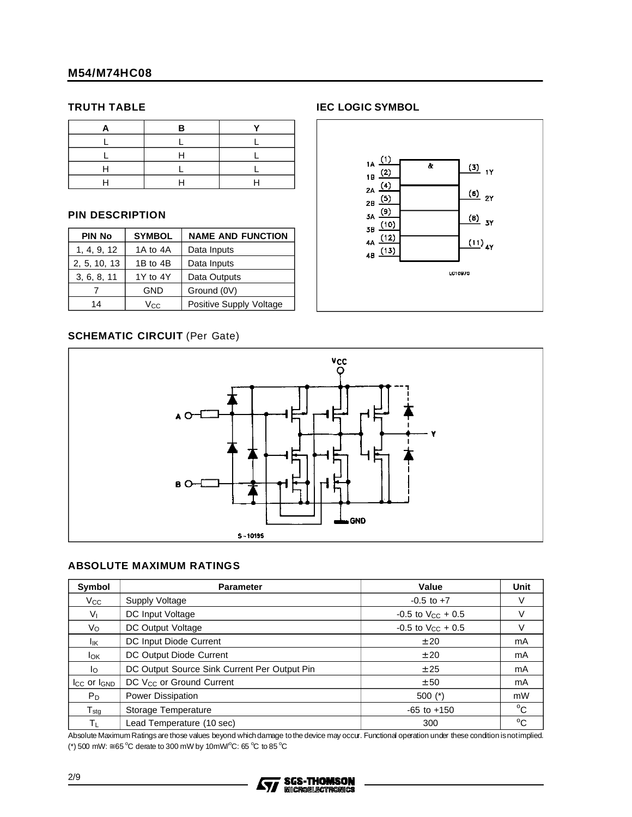#### **TRUTH TABLE**

#### **PIN DESCRIPTION**

| <b>PIN No</b><br><b>SYMBOL</b> |            | <b>NAME AND FUNCTION</b> |  |  |  |
|--------------------------------|------------|--------------------------|--|--|--|
| 1, 4, 9, 12                    | 1A to 4A   | Data Inputs              |  |  |  |
| 2, 5, 10, 13                   | 1B to 4B   | Data Inputs              |  |  |  |
| 3, 6, 8, 11                    | 1Y to 4Y   | Data Outputs             |  |  |  |
|                                | <b>GND</b> | Ground (0V)              |  |  |  |
| 14                             | Vcc.       | Positive Supply Voltage  |  |  |  |

#### **SCHEMATIC CIRCUIT** (Per Gate)







#### **ABSOLUTE MAXIMUM RATINGS**

| Symbol                  | <b>Parameter</b>                             | Value                    | Unit        |
|-------------------------|----------------------------------------------|--------------------------|-------------|
| $V_{\rm CC}$            | Supply Voltage                               | $-0.5$ to $+7$           | V           |
| V <sub>L</sub>          | DC Input Voltage                             | $-0.5$ to $V_{CC}$ + 0.5 | V           |
| Vo                      | DC Output Voltage                            | $-0.5$ to $V_{CC}$ + 0.5 | V           |
| Ιıκ                     | DC Input Diode Current                       | ± 20                     | mA          |
| <b>I</b> OK             | DC Output Diode Current                      | ± 20                     | mA          |
| lo.                     | DC Output Source Sink Current Per Output Pin | ± 25                     | mA          |
| $I_{CC}$ or $I_{GND}$   | DC V <sub>CC</sub> or Ground Current         | ± 50                     | mA          |
| $P_D$                   | <b>Power Dissipation</b>                     | $500$ $(*)$              | mW          |
| $T_{\rm stg}$           | Storage Temperature                          | $-65$ to $+150$          | $^{\circ}C$ |
| $\mathsf{T}_\mathsf{L}$ | Lead Temperature (10 sec)                    | 300                      | $^{\circ}C$ |

Absolute MaximumRatings are those values beyond whichdamage tothe device may occur. Functional operation under these condition isnotimplied. (\*) 500 mW:  $\approx$  65 °C derate to 300 mW by 10mW/°C: 65 °C to 85 °C

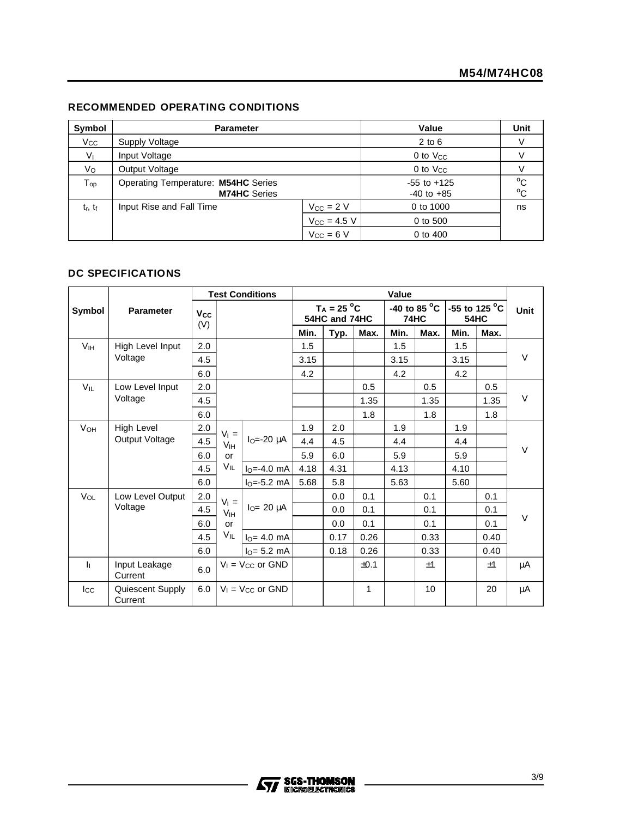#### **RECOMMENDED OPERATING CONDITIONS**

| Symbol                      | <b>Parameter</b>                                           |                                   | Value                        | Unit |
|-----------------------------|------------------------------------------------------------|-----------------------------------|------------------------------|------|
| $V_{\rm CC}$                | Supply Voltage                                             |                                   | $2$ to $6$                   |      |
| $V_{1}$                     | Input Voltage                                              |                                   | 0 to $V_{CC}$                |      |
| Vo                          | Output Voltage                                             | $0$ to $V_{CC}$                   |                              |      |
| ${\mathsf T}_{\mathsf{op}}$ | Operating Temperature: M54HC Series<br><b>M74HC</b> Series | $-55$ to $+125$<br>$-40$ to $+85$ | $^{\circ}$ C<br>$^{\circ}$ C |      |
| $t_r$ , $t_f$               | Input Rise and Fall Time                                   | $V_{CC}$ = 2 V                    | 0 to 1000                    | ns   |
|                             |                                                            | $V_{CC}$ = 4.5 V                  | 0 to 500                     |      |
|                             |                                                            | $V_{CC} = 6 V$                    | 0 to 400                     |      |

#### **DC SPECIFICATIONS**

|                 |                             | <b>Test Conditions</b> |                         | Value                   |      |                                |      |             |                        |             |                         |      |
|-----------------|-----------------------------|------------------------|-------------------------|-------------------------|------|--------------------------------|------|-------------|------------------------|-------------|-------------------------|------|
| Symbol          | <b>Parameter</b>            | Vcc<br>(V)             |                         |                         |      | $T_A = 25 °C$<br>54HC and 74HC |      | <b>74HC</b> | -40 to 85 $^{\circ}$ C | <b>54HC</b> | -55 to 125 $^{\circ}$ C | Unit |
|                 |                             |                        |                         |                         | Min. | Typ.                           | Max. | Min.        | Max.                   | Min.        | Max.                    |      |
| V <sub>IH</sub> | High Level Input            | 2.0                    |                         |                         | 1.5  |                                |      | 1.5         |                        | 1.5         |                         |      |
|                 | Voltage                     | 4.5                    |                         |                         | 3.15 |                                |      | 3.15        |                        | 3.15        |                         | V    |
|                 |                             | 6.0                    |                         |                         | 4.2  |                                |      | 4.2         |                        | 4.2         |                         |      |
| $V_{IL}$        | Low Level Input             | 2.0                    |                         |                         |      |                                | 0.5  |             | 0.5                    |             | 0.5                     |      |
|                 | Voltage                     | 4.5                    |                         |                         |      |                                | 1.35 |             | 1.35                   |             | 1.35                    | V    |
|                 |                             | 6.0                    |                         |                         |      |                                | 1.8  |             | 1.8                    |             | 1.8                     |      |
| VOH             | High Level                  | 2.0                    | $V_1 =$                 |                         | 1.9  | 2.0                            |      | 1.9         |                        | 1.9         |                         |      |
|                 | Output Voltage              | 4.5                    | V <sub>IH</sub>         | $IO=-20 \mu A$          | 4.4  | 4.5                            |      | 4.4         |                        | 4.4         |                         |      |
|                 |                             | 6.0                    | or                      |                         | 5.9  | 6.0                            |      | 5.9         |                        | 5.9         |                         | V    |
|                 |                             | 4.5                    | VIL                     | $IO=-4.0$ mA            | 4.18 | 4.31                           |      | 4.13        |                        | 4.10        |                         |      |
|                 |                             | 6.0                    |                         | $IO=-5.2 mA$            | 5.68 | 5.8                            |      | 5.63        |                        | 5.60        |                         |      |
| VOL             | Low Level Output            | 2.0                    | $V_1 =$                 |                         |      | 0.0                            | 0.1  |             | 0.1                    |             | 0.1                     |      |
|                 | Voltage                     | 4.5                    | V <sub>IH</sub>         | $IO= 20 \mu A$          |      | 0.0                            | 0.1  |             | 0.1                    |             | 0.1                     |      |
|                 |                             | 6.0                    | or                      |                         |      | 0.0                            | 0.1  |             | 0.1                    |             | 0.1                     | V    |
|                 |                             | 4.5                    | VIL                     | $IO = 4.0$ mA           |      | 0.17                           | 0.26 |             | 0.33                   |             | 0.40                    |      |
|                 |                             | 6.0                    |                         | $IO= 5.2 mA$            |      | 0.18                           | 0.26 |             | 0.33                   |             | 0.40                    |      |
| h.              | Input Leakage<br>Current    | 6.0                    | $V_1$ = $V_{CC}$ or GND |                         |      |                                | ±0.1 |             | ±1                     |             | ±1                      | μA   |
| $_{\rm lcc}$    | Quiescent Supply<br>Current | 6.0                    |                         | $V_1$ = $V_{CC}$ or GND |      |                                | 1    |             | 10                     |             | 20                      | μA   |

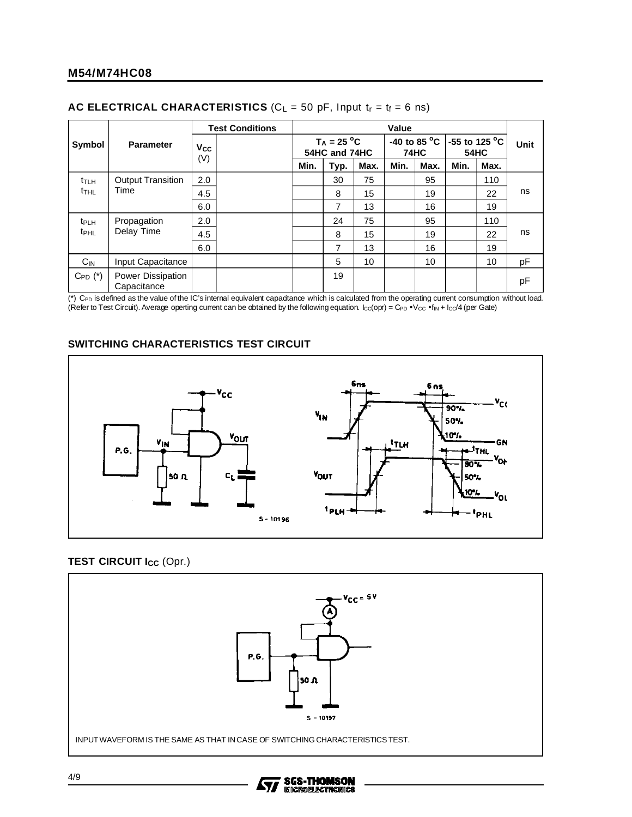| Symbol<br><b>Parameter</b> |                                  | <b>Test Conditions</b> |                                | Value |      |                                       |      |                              |      |             |    |
|----------------------------|----------------------------------|------------------------|--------------------------------|-------|------|---------------------------------------|------|------------------------------|------|-------------|----|
|                            |                                  | Vcc                    | $T_A = 25 °C$<br>54HC and 74HC |       |      | -40 to 85 $^{\circ}$ C<br><b>74HC</b> |      | -55 to 125 °C<br><b>54HC</b> |      | <b>Unit</b> |    |
|                            |                                  | (V)                    |                                | Min.  | Typ. | Max.                                  | Min. | Max.                         | Min. | Max.        |    |
| $t_{TLH}$                  | <b>Output Transition</b>         | 2.0                    |                                |       | 30   | 75                                    |      | 95                           |      | 110         |    |
| t <sub>thl</sub>           | Time                             | 4.5                    |                                |       | 8    | 15                                    |      | 19                           |      | 22          | ns |
|                            |                                  | 6.0                    |                                |       | 7    | 13                                    |      | 16                           |      | 19          |    |
| t <sub>PLH</sub>           | Propagation                      | 2.0                    |                                |       | 24   | 75                                    |      | 95                           |      | 110         |    |
| <b>t</b> <sub>PHL</sub>    | Delay Time                       | 4.5                    |                                |       | 8    | 15                                    |      | 19                           |      | 22          | ns |
|                            |                                  | 6.0                    |                                |       | 7    | 13                                    |      | 16                           |      | 19          |    |
| $C_{IN}$                   | Input Capacitance                |                        |                                |       | 5    | 10                                    |      | 10                           |      | 10          | pF |
| $C_{PD}$ $(*)$             | Power Dissipation<br>Capacitance |                        |                                |       | 19   |                                       |      |                              |      |             | pF |

#### **AC ELECTRICAL CHARACTERISTICS** ( $C_L = 50$  pF, Input  $t_r = t_f = 6$  ns)

(\*) C<sub>PD</sub> is defined as the value of the IC's internal equivalent capadtance which is calculated from the operating current consumption without load. (Refer to Test Circuit). Average operting current can be obtained by the following equation.  $lcc$ (opr) = C<sub>PD</sub> • V<sub>CC</sub> • f<sub>IN</sub> +  $lc$ /4 (per Gate)

#### **SWITCHING CHARACTERISTICS TEST CIRCUIT**



#### **TEST CIRCUIT I<sub>CC</sub> (Opr.)**



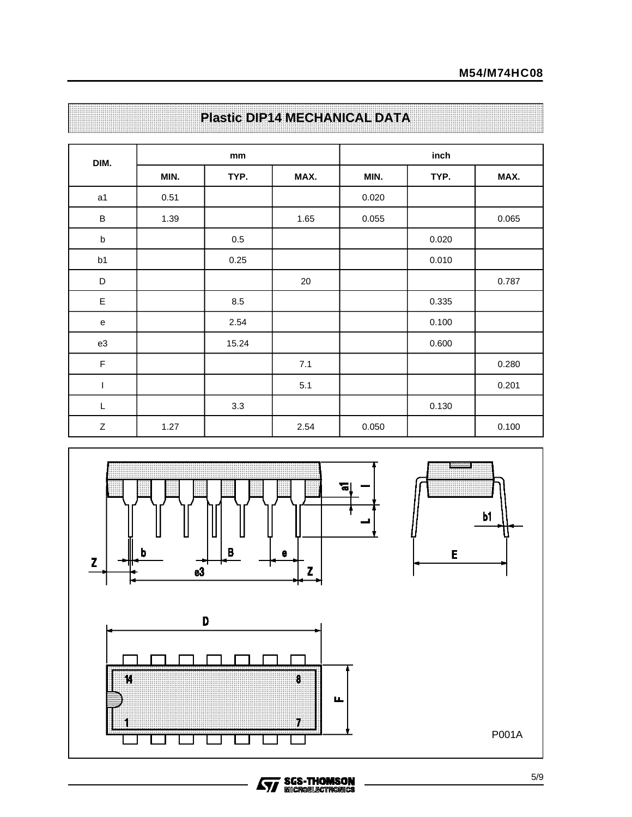| DIM.        |      | mm      |      | inch  |       |       |  |
|-------------|------|---------|------|-------|-------|-------|--|
|             | MIN. | TYP.    | MAX. | MIN.  | TYP.  | MAX.  |  |
| a1          | 0.51 |         |      | 0.020 |       |       |  |
| $\sf B$     | 1.39 |         | 1.65 | 0.055 |       | 0.065 |  |
| $\sf b$     |      | $0.5\,$ |      |       | 0.020 |       |  |
| b1          |      | 0.25    |      |       | 0.010 |       |  |
| D           |      |         | 20   |       |       | 0.787 |  |
| $\mathsf E$ |      | 8.5     |      |       | 0.335 |       |  |
| e           |      | 2.54    |      |       | 0.100 |       |  |
| e3          |      | 15.24   |      |       | 0.600 |       |  |
| $\mathsf F$ |      |         | 7.1  |       |       | 0.280 |  |
| T           |      |         | 5.1  |       |       | 0.201 |  |
| $\mathsf L$ |      | 3.3     |      |       | 0.130 |       |  |
| $\mathsf Z$ | 1.27 |         | 2.54 | 0.050 |       | 0.100 |  |

# **Plastic DIP14 MECHANICAL DATA**



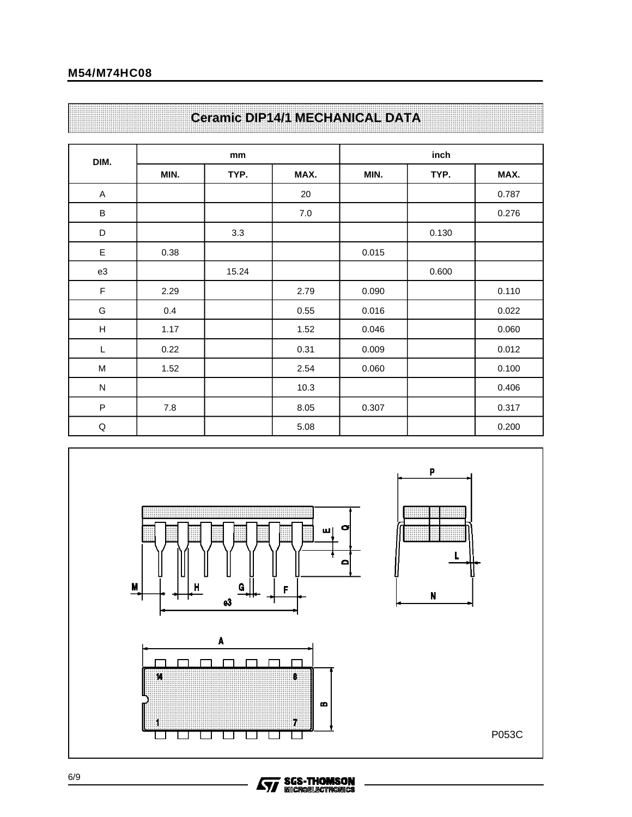# **Ceramic DIP14/1 MECHANICAL DATA**

| DIM.                      |      | mm    |      | inch  |       |       |  |
|---------------------------|------|-------|------|-------|-------|-------|--|
|                           | MIN. | TYP.  | MAX. | MIN.  | TYP.  | MAX.  |  |
| $\boldsymbol{\mathsf{A}}$ |      |       | 20   |       |       | 0.787 |  |
| $\sf B$                   |      |       | 7.0  |       |       | 0.276 |  |
| D                         |      | 3.3   |      |       | 0.130 |       |  |
| E                         | 0.38 |       |      | 0.015 |       |       |  |
| e3                        |      | 15.24 |      |       | 0.600 |       |  |
| F                         | 2.29 |       | 2.79 | 0.090 |       | 0.110 |  |
| G                         | 0.4  |       | 0.55 | 0.016 |       | 0.022 |  |
| $\boldsymbol{\mathsf{H}}$ | 1.17 |       | 1.52 | 0.046 |       | 0.060 |  |
| L                         | 0.22 |       | 0.31 | 0.009 |       | 0.012 |  |
| M                         | 1.52 |       | 2.54 | 0.060 |       | 0.100 |  |
| ${\sf N}$                 |      |       | 10.3 |       |       | 0.406 |  |
| $\sf P$                   | 7.8  |       | 8.05 | 0.307 |       | 0.317 |  |
| $\sf Q$                   |      |       | 5.08 |       |       | 0.200 |  |

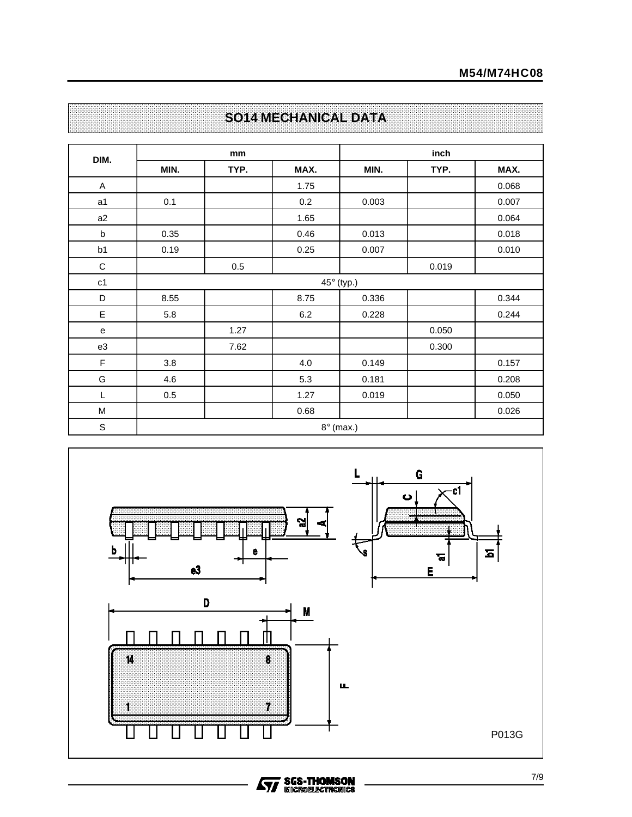| DIM.           |      | mm               |      | inch       |       |       |  |  |  |
|----------------|------|------------------|------|------------|-------|-------|--|--|--|
|                | MIN. | TYP.             | MAX. | MIN.       | TYP.  | MAX.  |  |  |  |
| A              |      |                  | 1.75 |            |       | 0.068 |  |  |  |
| a <sub>1</sub> | 0.1  |                  | 0.2  | 0.003      |       | 0.007 |  |  |  |
| a2             |      |                  | 1.65 |            |       | 0.064 |  |  |  |
| b              | 0.35 |                  | 0.46 | 0.013      |       | 0.018 |  |  |  |
| b1             | 0.19 |                  | 0.25 | 0.007      |       | 0.010 |  |  |  |
| $\mathbf C$    |      | 0.5              |      |            | 0.019 |       |  |  |  |
| c <sub>1</sub> |      |                  |      | 45° (typ.) |       |       |  |  |  |
| D              | 8.55 |                  | 8.75 | 0.336      |       | 0.344 |  |  |  |
| E              | 5.8  |                  | 6.2  | 0.228      |       | 0.244 |  |  |  |
| e              |      | 1.27             |      |            | 0.050 |       |  |  |  |
| e3             |      | 7.62             |      |            | 0.300 |       |  |  |  |
| $\mathsf F$    | 3.8  |                  | 4.0  | 0.149      |       | 0.157 |  |  |  |
| G              | 4.6  |                  | 5.3  | 0.181      |       | 0.208 |  |  |  |
| L              | 0.5  |                  | 1.27 | 0.019      |       | 0.050 |  |  |  |
| M              |      |                  | 0.68 |            |       | 0.026 |  |  |  |
| $\mathbb S$    |      | $8^\circ$ (max.) |      |            |       |       |  |  |  |

# **SO14 MECHANICAL DATA**

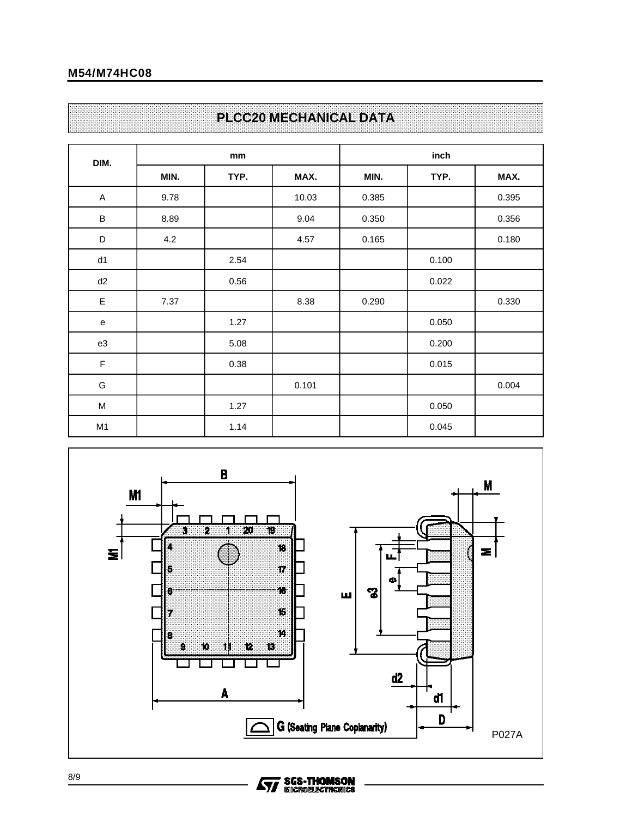#### **M54/M74HC08**

### **PLCC20 MECHANICAL DATA**

| DIM.           |      | mm   |       | inch  |       |       |  |
|----------------|------|------|-------|-------|-------|-------|--|
|                | MIN. | TYP. | MAX.  | MIN.  | TYP.  | MAX.  |  |
| A              | 9.78 |      | 10.03 | 0.385 |       | 0.395 |  |
| $\sf B$        | 8.89 |      | 9.04  | 0.350 |       | 0.356 |  |
| $\mathsf D$    | 4.2  |      | 4.57  | 0.165 |       | 0.180 |  |
| d1             |      | 2.54 |       |       | 0.100 |       |  |
| d2             |      | 0.56 |       |       | 0.022 |       |  |
| E              | 7.37 |      | 8.38  | 0.290 |       | 0.330 |  |
| e              |      | 1.27 |       |       | 0.050 |       |  |
| e3             |      | 5.08 |       |       | 0.200 |       |  |
| $\mathsf F$    |      | 0.38 |       |       | 0.015 |       |  |
| G              |      |      | 0.101 |       |       | 0.004 |  |
| M              |      | 1.27 |       |       | 0.050 |       |  |
| M <sub>1</sub> |      | 1.14 |       |       | 0.045 |       |  |